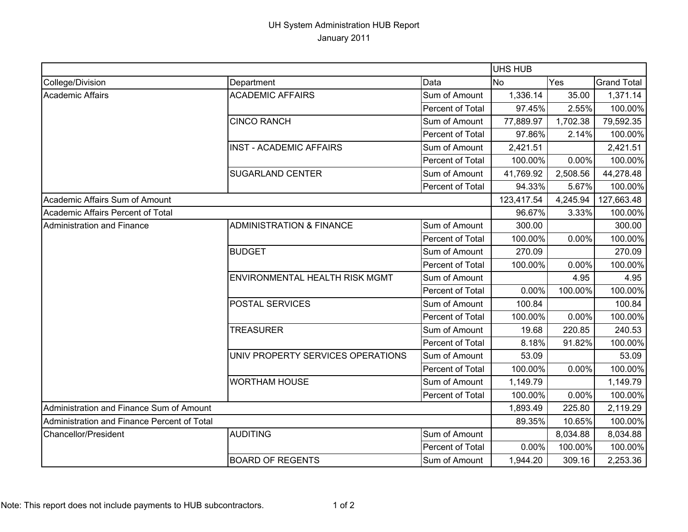## UH System Administration HUB Report January 2011

|                                             |                                     |                  | <b>UHS HUB</b> |          |                    |
|---------------------------------------------|-------------------------------------|------------------|----------------|----------|--------------------|
| College/Division                            | Department                          | Data             | No             | Yes      | <b>Grand Total</b> |
| <b>Academic Affairs</b>                     | <b>ACADEMIC AFFAIRS</b>             | Sum of Amount    | 1,336.14       | 35.00    | 1,371.14           |
|                                             |                                     | Percent of Total | 97.45%         | 2.55%    | 100.00%            |
|                                             | <b>CINCO RANCH</b>                  | Sum of Amount    | 77,889.97      | 1,702.38 | 79,592.35          |
|                                             |                                     | Percent of Total | 97.86%         | 2.14%    | 100.00%            |
|                                             | <b>INST - ACADEMIC AFFAIRS</b>      | Sum of Amount    | 2,421.51       |          | 2,421.51           |
|                                             |                                     | Percent of Total | 100.00%        | 0.00%    | 100.00%            |
|                                             | <b>SUGARLAND CENTER</b>             | Sum of Amount    | 41,769.92      | 2,508.56 | 44,278.48          |
|                                             |                                     | Percent of Total | 94.33%         | 5.67%    | 100.00%            |
| Academic Affairs Sum of Amount              |                                     |                  | 123,417.54     | 4,245.94 | 127,663.48         |
| Academic Affairs Percent of Total           |                                     |                  | 96.67%         | 3.33%    | 100.00%            |
| <b>Administration and Finance</b>           | <b>ADMINISTRATION &amp; FINANCE</b> | Sum of Amount    | 300.00         |          | 300.00             |
|                                             |                                     | Percent of Total | 100.00%        | 0.00%    | 100.00%            |
|                                             | <b>BUDGET</b>                       | Sum of Amount    | 270.09         |          | 270.09             |
|                                             |                                     | Percent of Total | 100.00%        | 0.00%    | 100.00%            |
|                                             | ENVIRONMENTAL HEALTH RISK MGMT      | Sum of Amount    |                | 4.95     | 4.95               |
|                                             |                                     | Percent of Total | 0.00%          | 100.00%  | 100.00%            |
|                                             | <b>POSTAL SERVICES</b>              | Sum of Amount    | 100.84         |          | 100.84             |
|                                             |                                     | Percent of Total | 100.00%        | 0.00%    | 100.00%            |
|                                             | <b>TREASURER</b>                    | Sum of Amount    | 19.68          | 220.85   | 240.53             |
|                                             |                                     | Percent of Total | 8.18%          | 91.82%   | 100.00%            |
|                                             | UNIV PROPERTY SERVICES OPERATIONS   | Sum of Amount    | 53.09          |          | 53.09              |
|                                             |                                     | Percent of Total | 100.00%        | 0.00%    | 100.00%            |
|                                             | <b>WORTHAM HOUSE</b>                | Sum of Amount    | 1,149.79       |          | 1,149.79           |
|                                             |                                     | Percent of Total | 100.00%        | 0.00%    | 100.00%            |
| Administration and Finance Sum of Amount    |                                     |                  | 1,893.49       | 225.80   | 2,119.29           |
| Administration and Finance Percent of Total |                                     | 89.35%           | 10.65%         | 100.00%  |                    |
| Chancellor/President                        | <b>AUDITING</b>                     | Sum of Amount    |                | 8,034.88 | 8,034.88           |
|                                             |                                     | Percent of Total | 0.00%          | 100.00%  | 100.00%            |
|                                             | <b>BOARD OF REGENTS</b>             | Sum of Amount    | 1,944.20       | 309.16   | 2,253.36           |